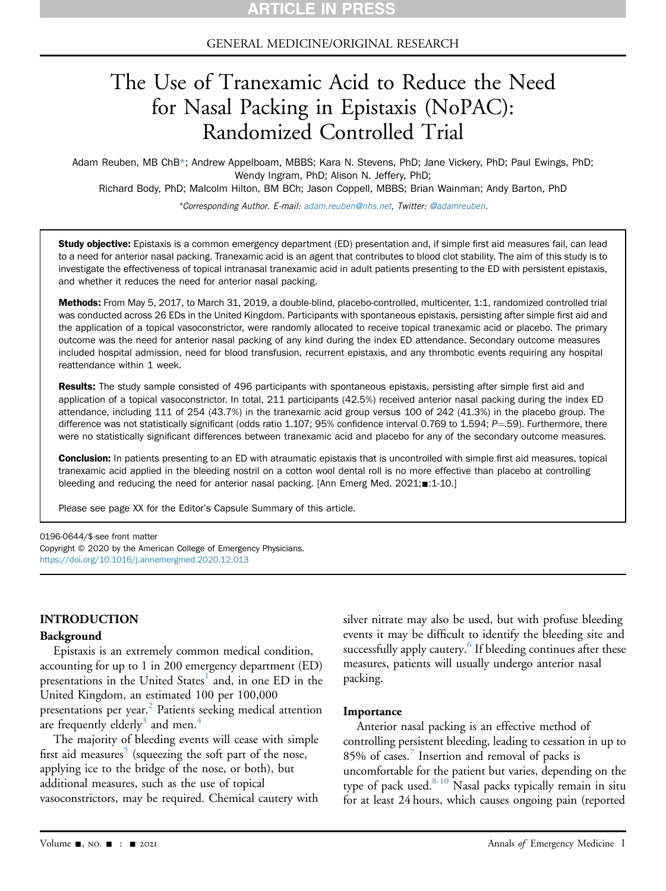#### GENERAL MEDICINE/ORIGINAL RESEARCH

# The Use of Tranexamic Acid to Reduce the Need for Nasal Packing in Epistaxis (NoPAC): Randomized Controlled Trial

Adam Reuben, MB ChB\*; Andrew Appelboam, MBBS; Kara N. Stevens, PhD; Jane Vickery, PhD; Paul Ewings, PhD; Wendy Ingram, PhD; Alison N. Jeffery, PhD; Richard Body, PhD; Malcolm Hilton, BM BCh; Jason Coppell, MBBS; Brian Wainman; Andy Barton, PhD

\*Corresponding Author. E-mail: [adam.reuben@nhs.net,](mailto:adam.reuben@nhs.net) Twitter: [@adamreuben](https://twitter.com/adamreuben).

Study objective: Epistaxis is a common emergency department (ED) presentation and, if simple first aid measures fail, can lead to a need for anterior nasal packing. Tranexamic acid is an agent that contributes to blood clot stability. The aim of this study is to investigate the effectiveness of topical intranasal tranexamic acid in adult patients presenting to the ED with persistent epistaxis, and whether it reduces the need for anterior nasal packing.

Methods: From May 5, 2017, to March 31, 2019, a double-blind, placebo-controlled, multicenter, 1:1, randomized controlled trial was conducted across 26 EDs in the United Kingdom. Participants with spontaneous epistaxis, persisting after simple first aid and the application of a topical vasoconstrictor, were randomly allocated to receive topical tranexamic acid or placebo. The primary outcome was the need for anterior nasal packing of any kind during the index ED attendance. Secondary outcome measures included hospital admission, need for blood transfusion, recurrent epistaxis, and any thrombotic events requiring any hospital reattendance within 1 week.

Results: The study sample consisted of 496 participants with spontaneous epistaxis, persisting after simple first aid and application of a topical vasoconstrictor. In total, 211 participants (42.5%) received anterior nasal packing during the index ED attendance, including 111 of 254 (43.7%) in the tranexamic acid group versus 100 of 242 (41.3%) in the placebo group. The difference was not statistically significant (odds ratio 1.107; 95% confidence interval 0.769 to 1.594;  $P=59$ ). Furthermore, there were no statistically significant differences between tranexamic acid and placebo for any of the secondary outcome measures.

**Conclusion:** In patients presenting to an ED with atraumatic epistaxis that is uncontrolled with simple first aid measures, topical tranexamic acid applied in the bleeding nostril on a cotton wool dental roll is no more effective than placebo at controlling bleeding and reducing the need for anterior nasal packing. [Ann Emerg Med.  $2021; \blacksquare: 1-10.]$ 

Please see page XX for the Editor's Capsule Summary of this article.

0196-0644/\$-see front matter

Copyright © 2020 by the American College of Emergency Physicians. <https://doi.org/10.1016/j.annemergmed.2020.12.013>

#### INTRODUCTION

#### Background

Epistaxis is an extremely common medical condition, accounting for up to 1 in 200 emergency department (ED) presentations in the United States<sup>[1](#page-8-0)</sup> and, in one ED in the United Kingdom, an estimated 100 per 100,000 presentations per year. $2$  Patients seeking medical attention are frequently elderly<sup>[3](#page-8-2)</sup> and men.<sup>[4](#page-8-3)</sup>

The majority of bleeding events will cease with simple first aid measures<sup>[5](#page-8-4)</sup> (squeezing the soft part of the nose, applying ice to the bridge of the nose, or both), but additional measures, such as the use of topical vasoconstrictors, may be required. Chemical cautery with silver nitrate may also be used, but with profuse bleeding events it may be difficult to identify the bleeding site and successfully apply cautery.<sup>6</sup> If bleeding continues after these measures, patients will usually undergo anterior nasal packing.

#### Importance

Anterior nasal packing is an effective method of controlling persistent bleeding, leading to cessation in up to 85% of cases.<sup>[7](#page-8-6)</sup> Insertion and removal of packs is uncomfortable for the patient but varies, depending on the type of pack used. $8-10$  Nasal packs typically remain in situ for at least 24 hours, which causes ongoing pain (reported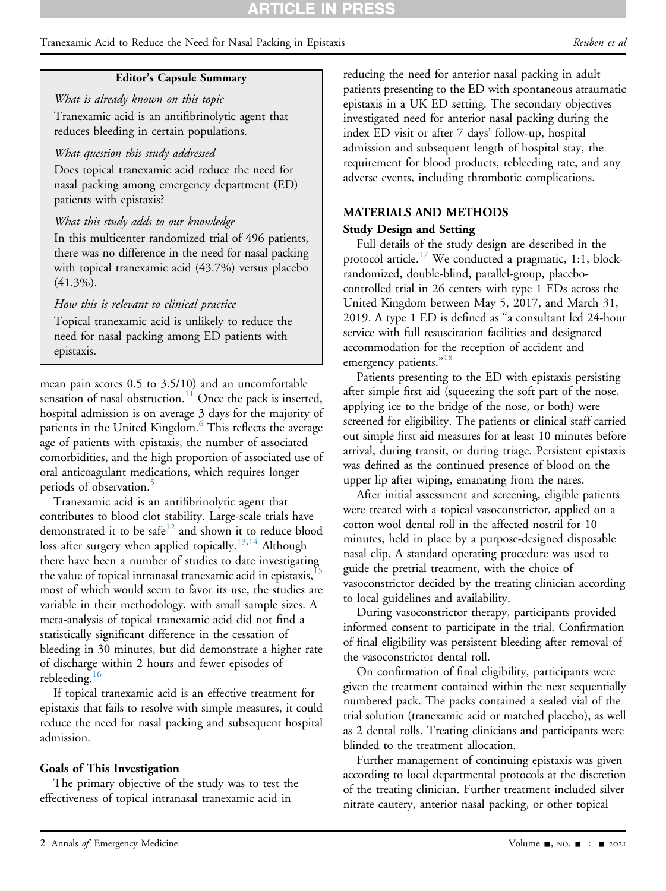#### Tranexamic Acid to Reduce the Need for Nasal Packing in Epistaxis **Example 2** and the *Reuben et al*

#### Editor's Capsule Summary

What is already known on this topic Tranexamic acid is an antifibrinolytic agent that reduces bleeding in certain populations.

#### What question this study addressed

Does topical tranexamic acid reduce the need for nasal packing among emergency department (ED) patients with epistaxis?

#### What this study adds to our knowledge

In this multicenter randomized trial of 496 patients, there was no difference in the need for nasal packing with topical tranexamic acid (43.7%) versus placebo  $(41.3\%)$ .

#### How this is relevant to clinical practice

Topical tranexamic acid is unlikely to reduce the need for nasal packing among ED patients with epistaxis.

mean pain scores 0.5 to 3.5/10) and an uncomfortable sensation of nasal obstruction.<sup>11</sup> Once the pack is inserted, hospital admission is on average 3 days for the majority of patients in the United Kingdom.<sup>[6](#page-8-5)</sup> This reflects the average age of patients with epistaxis, the number of associated comorbidities, and the high proportion of associated use of oral anticoagulant medications, which requires longer periods of observation.<sup>[5](#page-8-4)</sup>

Tranexamic acid is an antifibrinolytic agent that contributes to blood clot stability. Large-scale trials have demonstrated it to be safe<sup>[12](#page-8-9)</sup> and shown it to reduce blood loss after surgery when applied topically.<sup>[13](#page-8-10)[,14](#page-8-11)</sup> Although there have been a number of studies to date investigating the value of topical intranasal tranexamic acid in epistaxis, most of which would seem to favor its use, the studies are variable in their methodology, with small sample sizes. A meta-analysis of topical tranexamic acid did not find a statistically significant difference in the cessation of bleeding in 30 minutes, but did demonstrate a higher rate of discharge within 2 hours and fewer episodes of rebleeding.<sup>16</sup>

If topical tranexamic acid is an effective treatment for epistaxis that fails to resolve with simple measures, it could reduce the need for nasal packing and subsequent hospital admission.

#### Goals of This Investigation

The primary objective of the study was to test the effectiveness of topical intranasal tranexamic acid in

reducing the need for anterior nasal packing in adult patients presenting to the ED with spontaneous atraumatic epistaxis in a UK ED setting. The secondary objectives investigated need for anterior nasal packing during the index ED visit or after 7 days' follow-up, hospital admission and subsequent length of hospital stay, the requirement for blood products, rebleeding rate, and any adverse events, including thrombotic complications.

#### MATERIALS AND METHODS

#### Study Design and Setting

Full details of the study design are described in the protocol article.<sup>17</sup> We conducted a pragmatic, 1:1, blockrandomized, double-blind, parallel-group, placebocontrolled trial in 26 centers with type 1 EDs across the United Kingdom between May 5, 2017, and March 31, 2019. A type 1 ED is defined as "a consultant led 24-hour service with full resuscitation facilities and designated accommodation for the reception of accident and emergency patients."<sup>[18](#page-9-2)</sup>

Patients presenting to the ED with epistaxis persisting after simple first aid (squeezing the soft part of the nose, applying ice to the bridge of the nose, or both) were screened for eligibility. The patients or clinical staff carried out simple first aid measures for at least 10 minutes before arrival, during transit, or during triage. Persistent epistaxis was defined as the continued presence of blood on the upper lip after wiping, emanating from the nares.

After initial assessment and screening, eligible patients were treated with a topical vasoconstrictor, applied on a cotton wool dental roll in the affected nostril for 10 minutes, held in place by a purpose-designed disposable nasal clip. A standard operating procedure was used to guide the pretrial treatment, with the choice of vasoconstrictor decided by the treating clinician according to local guidelines and availability.

During vasoconstrictor therapy, participants provided informed consent to participate in the trial. Confirmation of final eligibility was persistent bleeding after removal of the vasoconstrictor dental roll.

On confirmation of final eligibility, participants were given the treatment contained within the next sequentially numbered pack. The packs contained a sealed vial of the trial solution (tranexamic acid or matched placebo), as well as 2 dental rolls. Treating clinicians and participants were blinded to the treatment allocation.

Further management of continuing epistaxis was given according to local departmental protocols at the discretion of the treating clinician. Further treatment included silver nitrate cautery, anterior nasal packing, or other topical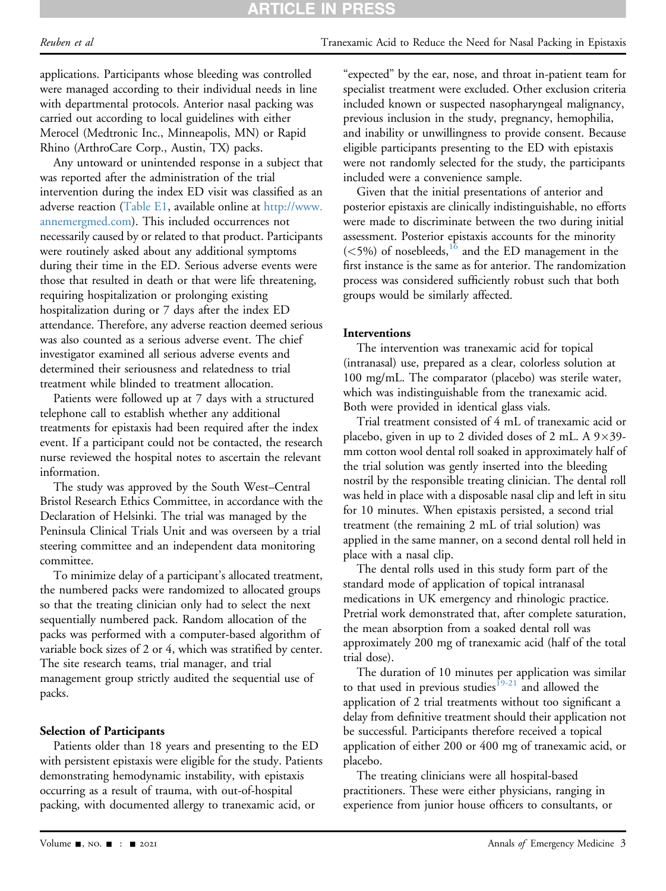Reuben et al Tranexamic Acid to Reduce the Need for Nasal Packing in Epistaxis

applications. Participants whose bleeding was controlled were managed according to their individual needs in line with departmental protocols. Anterior nasal packing was carried out according to local guidelines with either Merocel (Medtronic Inc., Minneapolis, MN) or Rapid Rhino (ArthroCare Corp., Austin, TX) packs.

Any untoward or unintended response in a subject that was reported after the administration of the trial intervention during the index ED visit was classified as an adverse reaction (Table E1, available online at [http://www.](http://www.annemergmed.com) [annemergmed.com](http://www.annemergmed.com)). This included occurrences not necessarily caused by or related to that product. Participants were routinely asked about any additional symptoms during their time in the ED. Serious adverse events were those that resulted in death or that were life threatening, requiring hospitalization or prolonging existing hospitalization during or 7 days after the index ED attendance. Therefore, any adverse reaction deemed serious was also counted as a serious adverse event. The chief investigator examined all serious adverse events and determined their seriousness and relatedness to trial treatment while blinded to treatment allocation.

Patients were followed up at 7 days with a structured telephone call to establish whether any additional treatments for epistaxis had been required after the index event. If a participant could not be contacted, the research nurse reviewed the hospital notes to ascertain the relevant information.

The study was approved by the South West–Central Bristol Research Ethics Committee, in accordance with the Declaration of Helsinki. The trial was managed by the Peninsula Clinical Trials Unit and was overseen by a trial steering committee and an independent data monitoring committee.

To minimize delay of a participant's allocated treatment, the numbered packs were randomized to allocated groups so that the treating clinician only had to select the next sequentially numbered pack. Random allocation of the packs was performed with a computer-based algorithm of variable bock sizes of 2 or 4, which was stratified by center. The site research teams, trial manager, and trial management group strictly audited the sequential use of packs.

#### Selection of Participants

Patients older than 18 years and presenting to the ED with persistent epistaxis were eligible for the study. Patients demonstrating hemodynamic instability, with epistaxis occurring as a result of trauma, with out-of-hospital packing, with documented allergy to tranexamic acid, or

"expected" by the ear, nose, and throat in-patient team for specialist treatment were excluded. Other exclusion criteria included known or suspected nasopharyngeal malignancy, previous inclusion in the study, pregnancy, hemophilia, and inability or unwillingness to provide consent. Because eligible participants presenting to the ED with epistaxis were not randomly selected for the study, the participants included were a convenience sample.

Given that the initial presentations of anterior and posterior epistaxis are clinically indistinguishable, no efforts were made to discriminate between the two during initial assessment. Posterior epistaxis accounts for the minority  $(<5\%)$  of nosebleeds, <sup>16</sup> and the ED management in the first instance is the same as for anterior. The randomization process was considered sufficiently robust such that both groups would be similarly affected.

#### Interventions

The intervention was tranexamic acid for topical (intranasal) use, prepared as a clear, colorless solution at 100 mg/mL. The comparator (placebo) was sterile water, which was indistinguishable from the tranexamic acid. Both were provided in identical glass vials.

Trial treatment consisted of 4 mL of tranexamic acid or placebo, given in up to 2 divided doses of 2 mL. A  $9 \times 39$ mm cotton wool dental roll soaked in approximately half of the trial solution was gently inserted into the bleeding nostril by the responsible treating clinician. The dental roll was held in place with a disposable nasal clip and left in situ for 10 minutes. When epistaxis persisted, a second trial treatment (the remaining 2 mL of trial solution) was applied in the same manner, on a second dental roll held in place with a nasal clip.

The dental rolls used in this study form part of the standard mode of application of topical intranasal medications in UK emergency and rhinologic practice. Pretrial work demonstrated that, after complete saturation, the mean absorption from a soaked dental roll was approximately 200 mg of tranexamic acid (half of the total trial dose).

The duration of 10 minutes per application was similar to that used in previous studies<sup>[19-21](#page-9-3)</sup> and allowed the application of 2 trial treatments without too significant a delay from definitive treatment should their application not be successful. Participants therefore received a topical application of either 200 or 400 mg of tranexamic acid, or placebo.

The treating clinicians were all hospital-based practitioners. These were either physicians, ranging in experience from junior house officers to consultants, or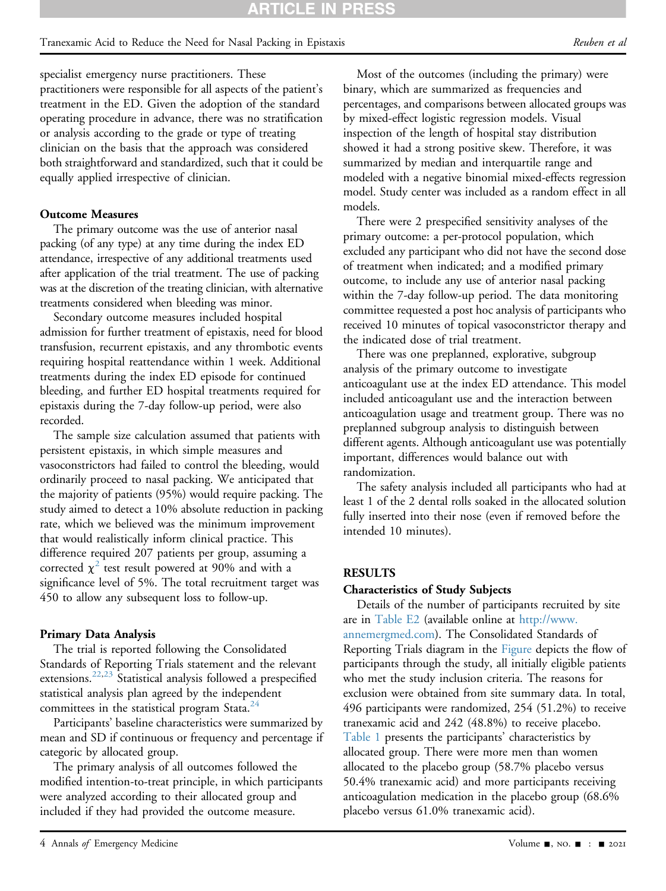specialist emergency nurse practitioners. These practitioners were responsible for all aspects of the patient's treatment in the ED. Given the adoption of the standard operating procedure in advance, there was no stratification or analysis according to the grade or type of treating clinician on the basis that the approach was considered both straightforward and standardized, such that it could be equally applied irrespective of clinician.

#### Outcome Measures

The primary outcome was the use of anterior nasal packing (of any type) at any time during the index ED attendance, irrespective of any additional treatments used after application of the trial treatment. The use of packing was at the discretion of the treating clinician, with alternative treatments considered when bleeding was minor.

Secondary outcome measures included hospital admission for further treatment of epistaxis, need for blood transfusion, recurrent epistaxis, and any thrombotic events requiring hospital reattendance within 1 week. Additional treatments during the index ED episode for continued bleeding, and further ED hospital treatments required for epistaxis during the 7-day follow-up period, were also recorded.

The sample size calculation assumed that patients with persistent epistaxis, in which simple measures and vasoconstrictors had failed to control the bleeding, would ordinarily proceed to nasal packing. We anticipated that the majority of patients (95%) would require packing. The study aimed to detect a 10% absolute reduction in packing rate, which we believed was the minimum improvement that would realistically inform clinical practice. This difference required 207 patients per group, assuming a corrected  $\chi^2$  $\chi^2$  test result powered at 90% and with a significance level of 5%. The total recruitment target was 450 to allow any subsequent loss to follow-up.

#### Primary Data Analysis

The trial is reported following the Consolidated Standards of Reporting Trials statement and the relevant extensions.<sup>[22](#page-9-4)[,23](#page-9-5)</sup> Statistical analysis followed a prespecified statistical analysis plan agreed by the independent committees in the statistical program Stata. $^{24}$  $^{24}$  $^{24}$ 

Participants' baseline characteristics were summarized by mean and SD if continuous or frequency and percentage if categoric by allocated group.

The primary analysis of all outcomes followed the modified intention-to-treat principle, in which participants were analyzed according to their allocated group and included if they had provided the outcome measure.

Most of the outcomes (including the primary) were binary, which are summarized as frequencies and percentages, and comparisons between allocated groups was by mixed-effect logistic regression models. Visual inspection of the length of hospital stay distribution showed it had a strong positive skew. Therefore, it was summarized by median and interquartile range and modeled with a negative binomial mixed-effects regression model. Study center was included as a random effect in all models.

There were 2 prespecified sensitivity analyses of the primary outcome: a per-protocol population, which excluded any participant who did not have the second dose of treatment when indicated; and a modified primary outcome, to include any use of anterior nasal packing within the 7-day follow-up period. The data monitoring committee requested a post hoc analysis of participants who received 10 minutes of topical vasoconstrictor therapy and the indicated dose of trial treatment.

There was one preplanned, explorative, subgroup analysis of the primary outcome to investigate anticoagulant use at the index ED attendance. This model included anticoagulant use and the interaction between anticoagulation usage and treatment group. There was no preplanned subgroup analysis to distinguish between different agents. Although anticoagulant use was potentially important, differences would balance out with randomization.

The safety analysis included all participants who had at least 1 of the 2 dental rolls soaked in the allocated solution fully inserted into their nose (even if removed before the intended 10 minutes).

#### RESULTS

#### Characteristics of Study Subjects

Details of the number of participants recruited by site are in Table E2 (available online at [http://www.](http://www.annemergmed.com) [annemergmed.com\)](http://www.annemergmed.com). The Consolidated Standards of Reporting Trials diagram in the [Figure](#page-4-0) depicts the flow of participants through the study, all initially eligible patients who met the study inclusion criteria. The reasons for exclusion were obtained from site summary data. In total, 496 participants were randomized, 254 (51.2%) to receive tranexamic acid and 242 (48.8%) to receive placebo. [Table 1](#page-5-0) presents the participants' characteristics by allocated group. There were more men than women allocated to the placebo group (58.7% placebo versus 50.4% tranexamic acid) and more participants receiving anticoagulation medication in the placebo group (68.6% placebo versus 61.0% tranexamic acid).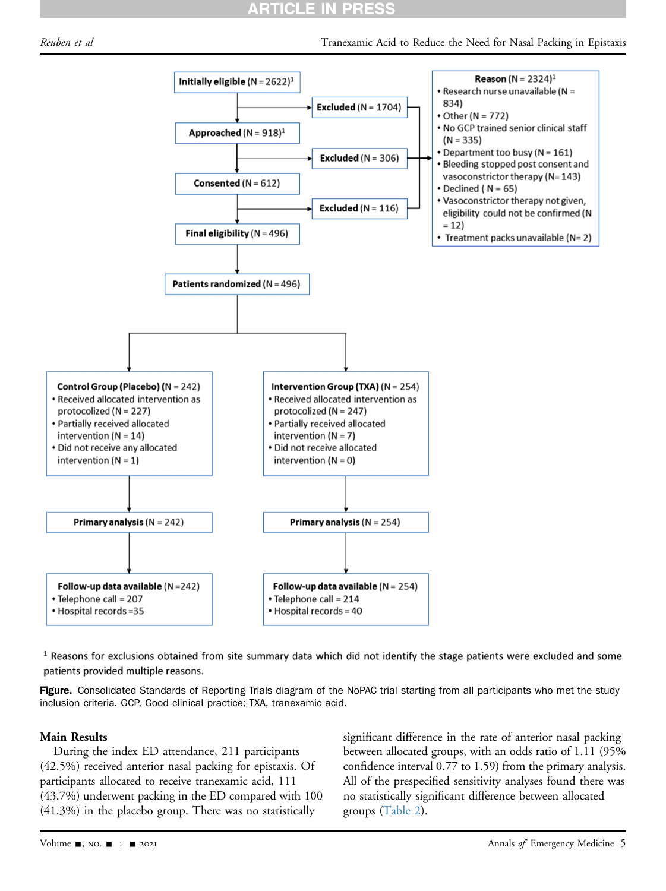## RTICLE IN PRESS

<span id="page-4-0"></span>Reuben et al Tranexamic Acid to Reduce the Need for Nasal Packing in Epistaxis



 $1$  Reasons for exclusions obtained from site summary data which did not identify the stage patients were excluded and some patients provided multiple reasons.

Figure. Consolidated Standards of Reporting Trials diagram of the NoPAC trial starting from all participants who met the study inclusion criteria. GCP, Good clinical practice; TXA, tranexamic acid.

#### Main Results

During the index ED attendance, 211 participants (42.5%) received anterior nasal packing for epistaxis. Of participants allocated to receive tranexamic acid, 111 (43.7%) underwent packing in the ED compared with 100 (41.3%) in the placebo group. There was no statistically

significant difference in the rate of anterior nasal packing between allocated groups, with an odds ratio of 1.11 (95% confidence interval 0.77 to 1.59) from the primary analysis. All of the prespecified sensitivity analyses found there was no statistically significant difference between allocated groups ([Table 2\)](#page-5-1).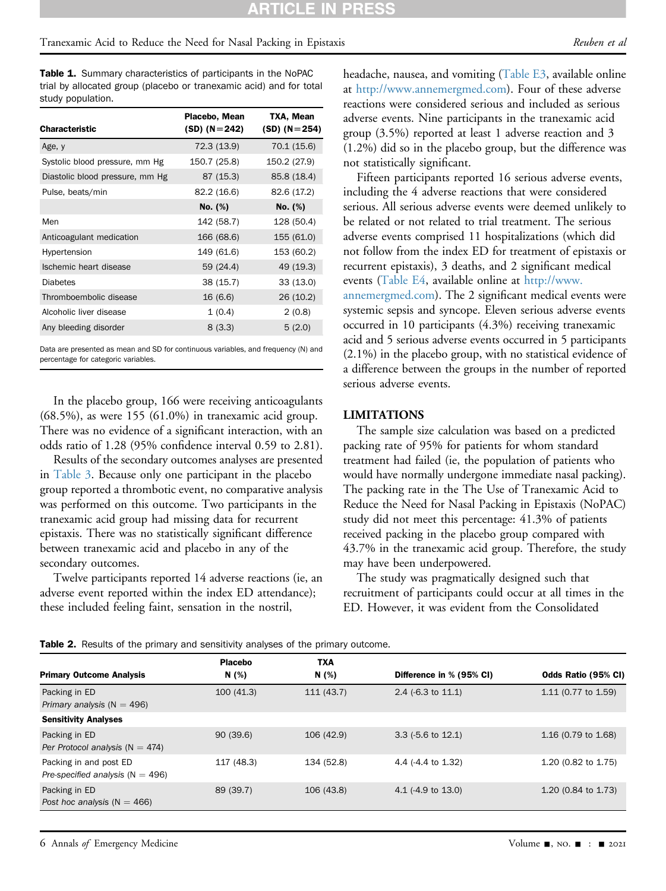Table 1. Summary characteristics of participants in the NoPAC trial by allocated group (placebo or tranexamic acid) and for total study population.

| <b>Characteristic</b>           | Placebo, Mean<br>$(SD)$ (N = 242) | TXA, Mean<br>$(SD)$ (N = 254) |
|---------------------------------|-----------------------------------|-------------------------------|
| Age, y                          | 72.3 (13.9)                       | 70.1 (15.6)                   |
| Systolic blood pressure, mm Hg  | 150.7 (25.8)                      | 150.2 (27.9)                  |
| Diastolic blood pressure, mm Hg | 87 (15.3)                         | 85.8 (18.4)                   |
| Pulse, beats/min                | 82.2 (16.6)                       | 82.6 (17.2)                   |
|                                 | No. (%)                           | No. (%)                       |
| Men                             | 142 (58.7)                        | 128 (50.4)                    |
| Anticoagulant medication        | 166 (68.6)                        | 155 (61.0)                    |
| Hypertension                    | 149 (61.6)                        | 153 (60.2)                    |
| Ischemic heart disease          | 59 (24.4)                         | 49 (19.3)                     |
| <b>Diabetes</b>                 | 38 (15.7)                         | 33 (13.0)                     |
| Thromboembolic disease          | 16 (6.6)                          | 26 (10.2)                     |
| Alcoholic liver disease         | 1(0.4)                            | 2(0.8)                        |
| Any bleeding disorder           | 8(3.3)                            | 5(2.0)                        |
|                                 |                                   |                               |

<span id="page-5-0"></span>Data are presented as mean and SD for continuous variables, and frequency (N) and percentage for categoric variables.

In the placebo group, 166 were receiving anticoagulants (68.5%), as were 155 (61.0%) in tranexamic acid group. There was no evidence of a significant interaction, with an odds ratio of 1.28 (95% confidence interval 0.59 to 2.81).

Results of the secondary outcomes analyses are presented in [Table 3](#page-6-0). Because only one participant in the placebo group reported a thrombotic event, no comparative analysis was performed on this outcome. Two participants in the tranexamic acid group had missing data for recurrent epistaxis. There was no statistically significant difference between tranexamic acid and placebo in any of the secondary outcomes.

Twelve participants reported 14 adverse reactions (ie, an adverse event reported within the index ED attendance); these included feeling faint, sensation in the nostril,

headache, nausea, and vomiting (Table E3, available online at [http://www.annemergmed.com\)](http://www.annemergmed.com). Four of these adverse reactions were considered serious and included as serious adverse events. Nine participants in the tranexamic acid group (3.5%) reported at least 1 adverse reaction and 3 (1.2%) did so in the placebo group, but the difference was not statistically significant.

Fifteen participants reported 16 serious adverse events, including the 4 adverse reactions that were considered serious. All serious adverse events were deemed unlikely to be related or not related to trial treatment. The serious adverse events comprised 11 hospitalizations (which did not follow from the index ED for treatment of epistaxis or recurrent epistaxis), 3 deaths, and 2 significant medical events (Table E4, available online at [http://www.](http://www.annemergmed.com) [annemergmed.com\)](http://www.annemergmed.com). The 2 significant medical events were systemic sepsis and syncope. Eleven serious adverse events occurred in 10 participants (4.3%) receiving tranexamic acid and 5 serious adverse events occurred in 5 participants (2.1%) in the placebo group, with no statistical evidence of a difference between the groups in the number of reported serious adverse events.

#### LIMITATIONS

The sample size calculation was based on a predicted packing rate of 95% for patients for whom standard treatment had failed (ie, the population of patients who would have normally undergone immediate nasal packing). The packing rate in the The Use of Tranexamic Acid to Reduce the Need for Nasal Packing in Epistaxis (NoPAC) study did not meet this percentage: 41.3% of patients received packing in the placebo group compared with 43.7% in the tranexamic acid group. Therefore, the study may have been underpowered.

The study was pragmatically designed such that recruitment of participants could occur at all times in the ED. However, it was evident from the Consolidated

| <b>Primary Outcome Analysis</b>                                | Placebo<br>N (%) | <b>TXA</b><br>N $(\%)$ | Difference in % (95% CI)      | Odds Ratio (95% CI)            |
|----------------------------------------------------------------|------------------|------------------------|-------------------------------|--------------------------------|
| Packing in ED<br>Primary analysis ( $N = 496$ )                | 100(41.3)        | 111(43.7)              | 2.4 $(-6.3 \text{ to } 11.1)$ | 1.11 (0.77 to 1.59)            |
| <b>Sensitivity Analyses</b>                                    |                  |                        |                               |                                |
| Packing in ED<br>Per Protocol analysis ( $N = 474$ )           | 90(39.6)         | 106 (42.9)             | $3.3$ (-5.6 to 12.1)          | 1.16 (0.79 to 1.68)            |
| Packing in and post ED<br>Pre-specified analysis ( $N = 496$ ) | 117 (48.3)       | 134 (52.8)             | 4.4 (-4.4 to 1.32)            | 1.20 (0.82 to 1.75)            |
| Packing in ED<br>Post hoc analysis ( $N = 466$ )               | 89 (39.7)        | 106 (43.8)             | 4.1 $(-4.9 \text{ to } 13.0)$ | 1.20 $(0.84 \text{ to } 1.73)$ |

<span id="page-5-1"></span>Table 2. Results of the primary and sensitivity analyses of the primary outcome.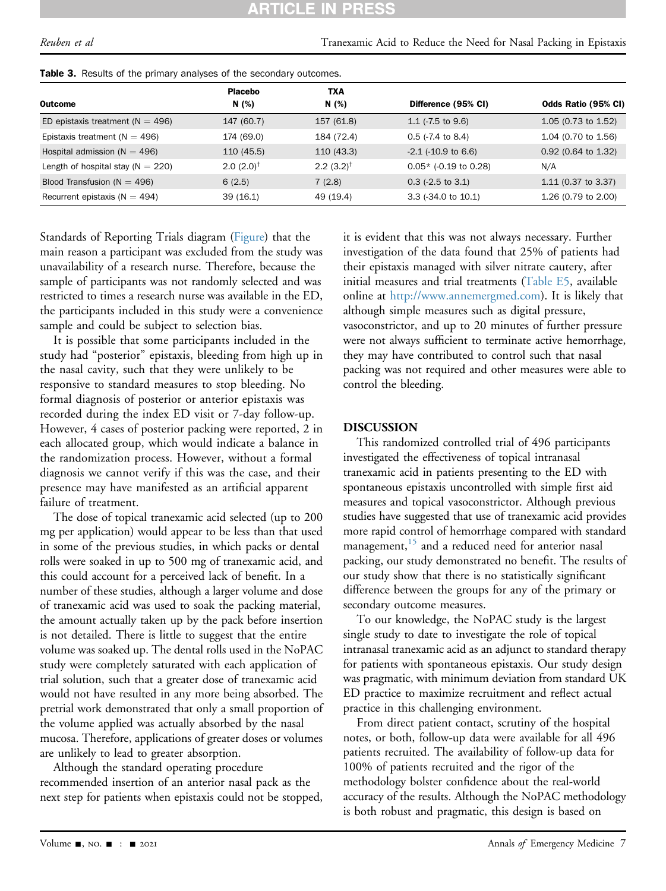# RTICLE IN PRE

Reuben et al Tranexamic Acid to Reduce the Need for Nasal Packing in Epistaxis

|                                       | <b>Placebo</b>       | TXA            |                                |                       |  |  |  |
|---------------------------------------|----------------------|----------------|--------------------------------|-----------------------|--|--|--|
| Outcome                               | N(%)                 | N $(\%)$       | Difference (95% CI)            | Odds Ratio (95% CI)   |  |  |  |
| ED epistaxis treatment ( $N = 496$ )  | 147 (60.7)           | 157 (61.8)     | 1.1 $(-7.5)$ to 9.6            | $1.05$ (0.73 to 1.52) |  |  |  |
| Epistaxis treatment ( $N = 496$ )     | 174 (69.0)           | 184 (72.4)     | $0.5$ ( $-7.4$ to $8.4$ )      | 1.04 (0.70 to 1.56)   |  |  |  |
| Hospital admission ( $N = 496$ )      | 110 (45.5)           | 110(43.3)      | $-2.1$ ( $-10.9$ to 6.6)       | $0.92$ (0.64 to 1.32) |  |  |  |
| Length of hospital stay ( $N = 220$ ) | $2.0(2.0)^{\dagger}$ | $2.2(3.2)^{†}$ | $0.05*$ (-0.19 to 0.28)        | N/A                   |  |  |  |
| Blood Transfusion ( $N = 496$ )       | 6(2.5)               | 7(2.8)         | $0.3$ (-2.5 to 3.1)            | 1.11 (0.37 to 3.37)   |  |  |  |
| Recurrent epistaxis ( $N = 494$ )     | 39(16.1)             | 49 (19.4)      | 3.3 $(-34.0 \text{ to } 10.1)$ | 1.26 (0.79 to 2.00)   |  |  |  |

<span id="page-6-0"></span>Table 3. Results of the primary analyses of the secondary outcomes.

Standards of Reporting Trials diagram [\(Figure](#page-4-0)) that the main reason a participant was excluded from the study was unavailability of a research nurse. Therefore, because the sample of participants was not randomly selected and was restricted to times a research nurse was available in the ED, the participants included in this study were a convenience sample and could be subject to selection bias.

It is possible that some participants included in the study had "posterior" epistaxis, bleeding from high up in the nasal cavity, such that they were unlikely to be responsive to standard measures to stop bleeding. No formal diagnosis of posterior or anterior epistaxis was recorded during the index ED visit or 7-day follow-up. However, 4 cases of posterior packing were reported, 2 in each allocated group, which would indicate a balance in the randomization process. However, without a formal diagnosis we cannot verify if this was the case, and their presence may have manifested as an artificial apparent failure of treatment.

The dose of topical tranexamic acid selected (up to 200 mg per application) would appear to be less than that used in some of the previous studies, in which packs or dental rolls were soaked in up to 500 mg of tranexamic acid, and this could account for a perceived lack of benefit. In a number of these studies, although a larger volume and dose of tranexamic acid was used to soak the packing material, the amount actually taken up by the pack before insertion is not detailed. There is little to suggest that the entire volume was soaked up. The dental rolls used in the NoPAC study were completely saturated with each application of trial solution, such that a greater dose of tranexamic acid would not have resulted in any more being absorbed. The pretrial work demonstrated that only a small proportion of the volume applied was actually absorbed by the nasal mucosa. Therefore, applications of greater doses or volumes are unlikely to lead to greater absorption.

Although the standard operating procedure recommended insertion of an anterior nasal pack as the next step for patients when epistaxis could not be stopped, it is evident that this was not always necessary. Further investigation of the data found that 25% of patients had their epistaxis managed with silver nitrate cautery, after initial measures and trial treatments (Table E5, available online at [http://www.annemergmed.com\)](http://www.annemergmed.com). It is likely that although simple measures such as digital pressure, vasoconstrictor, and up to 20 minutes of further pressure were not always sufficient to terminate active hemorrhage, they may have contributed to control such that nasal packing was not required and other measures were able to control the bleeding.

### DISCUSSION

This randomized controlled trial of 496 participants investigated the effectiveness of topical intranasal tranexamic acid in patients presenting to the ED with spontaneous epistaxis uncontrolled with simple first aid measures and topical vasoconstrictor. Although previous studies have suggested that use of tranexamic acid provides more rapid control of hemorrhage compared with standard management, $15$  and a reduced need for anterior nasal packing, our study demonstrated no benefit. The results of our study show that there is no statistically significant difference between the groups for any of the primary or secondary outcome measures.

To our knowledge, the NoPAC study is the largest single study to date to investigate the role of topical intranasal tranexamic acid as an adjunct to standard therapy for patients with spontaneous epistaxis. Our study design was pragmatic, with minimum deviation from standard UK ED practice to maximize recruitment and reflect actual practice in this challenging environment.

From direct patient contact, scrutiny of the hospital notes, or both, follow-up data were available for all 496 patients recruited. The availability of follow-up data for 100% of patients recruited and the rigor of the methodology bolster confidence about the real-world accuracy of the results. Although the NoPAC methodology is both robust and pragmatic, this design is based on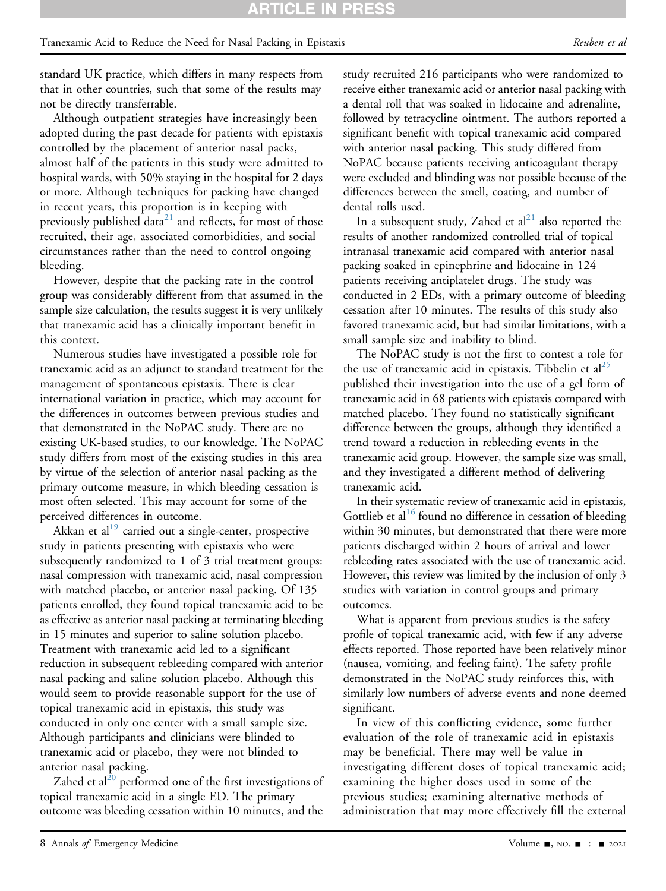standard UK practice, which differs in many respects from that in other countries, such that some of the results may not be directly transferrable.

Although outpatient strategies have increasingly been adopted during the past decade for patients with epistaxis controlled by the placement of anterior nasal packs, almost half of the patients in this study were admitted to hospital wards, with 50% staying in the hospital for 2 days or more. Although techniques for packing have changed in recent years, this proportion is in keeping with previously published data<sup>[21](#page-9-7)</sup> and reflects, for most of those recruited, their age, associated comorbidities, and social circumstances rather than the need to control ongoing bleeding.

However, despite that the packing rate in the control group was considerably different from that assumed in the sample size calculation, the results suggest it is very unlikely that tranexamic acid has a clinically important benefit in this context.

Numerous studies have investigated a possible role for tranexamic acid as an adjunct to standard treatment for the management of spontaneous epistaxis. There is clear international variation in practice, which may account for the differences in outcomes between previous studies and that demonstrated in the NoPAC study. There are no existing UK-based studies, to our knowledge. The NoPAC study differs from most of the existing studies in this area by virtue of the selection of anterior nasal packing as the primary outcome measure, in which bleeding cessation is most often selected. This may account for some of the perceived differences in outcome.

Akkan et  $al^{19}$  carried out a single-center, prospective study in patients presenting with epistaxis who were subsequently randomized to 1 of 3 trial treatment groups: nasal compression with tranexamic acid, nasal compression with matched placebo, or anterior nasal packing. Of 135 patients enrolled, they found topical tranexamic acid to be as effective as anterior nasal packing at terminating bleeding in 15 minutes and superior to saline solution placebo. Treatment with tranexamic acid led to a significant reduction in subsequent rebleeding compared with anterior nasal packing and saline solution placebo. Although this would seem to provide reasonable support for the use of topical tranexamic acid in epistaxis, this study was conducted in only one center with a small sample size. Although participants and clinicians were blinded to tranexamic acid or placebo, they were not blinded to anterior nasal packing.

Zahed et  $al^{20}$  $al^{20}$  $al^{20}$  performed one of the first investigations of topical tranexamic acid in a single ED. The primary outcome was bleeding cessation within 10 minutes, and the

study recruited 216 participants who were randomized to receive either tranexamic acid or anterior nasal packing with a dental roll that was soaked in lidocaine and adrenaline, followed by tetracycline ointment. The authors reported a significant benefit with topical tranexamic acid compared with anterior nasal packing. This study differed from NoPAC because patients receiving anticoagulant therapy were excluded and blinding was not possible because of the differences between the smell, coating, and number of dental rolls used.

In a subsequent study, Zahed et  $al<sup>21</sup>$  also reported the results of another randomized controlled trial of topical intranasal tranexamic acid compared with anterior nasal packing soaked in epinephrine and lidocaine in 124 patients receiving antiplatelet drugs. The study was conducted in 2 EDs, with a primary outcome of bleeding cessation after 10 minutes. The results of this study also favored tranexamic acid, but had similar limitations, with a small sample size and inability to blind.

The NoPAC study is not the first to contest a role for the use of tranexamic acid in epistaxis. Tibbelin et  $al^{25}$ published their investigation into the use of a gel form of tranexamic acid in 68 patients with epistaxis compared with matched placebo. They found no statistically significant difference between the groups, although they identified a trend toward a reduction in rebleeding events in the tranexamic acid group. However, the sample size was small, and they investigated a different method of delivering tranexamic acid.

In their systematic review of tranexamic acid in epistaxis, Gottlieb et al<sup>[16](#page-9-0)</sup> found no difference in cessation of bleeding within 30 minutes, but demonstrated that there were more patients discharged within 2 hours of arrival and lower rebleeding rates associated with the use of tranexamic acid. However, this review was limited by the inclusion of only 3 studies with variation in control groups and primary outcomes.

What is apparent from previous studies is the safety profile of topical tranexamic acid, with few if any adverse effects reported. Those reported have been relatively minor (nausea, vomiting, and feeling faint). The safety profile demonstrated in the NoPAC study reinforces this, with similarly low numbers of adverse events and none deemed significant.

In view of this conflicting evidence, some further evaluation of the role of tranexamic acid in epistaxis may be beneficial. There may well be value in investigating different doses of topical tranexamic acid; examining the higher doses used in some of the previous studies; examining alternative methods of administration that may more effectively fill the external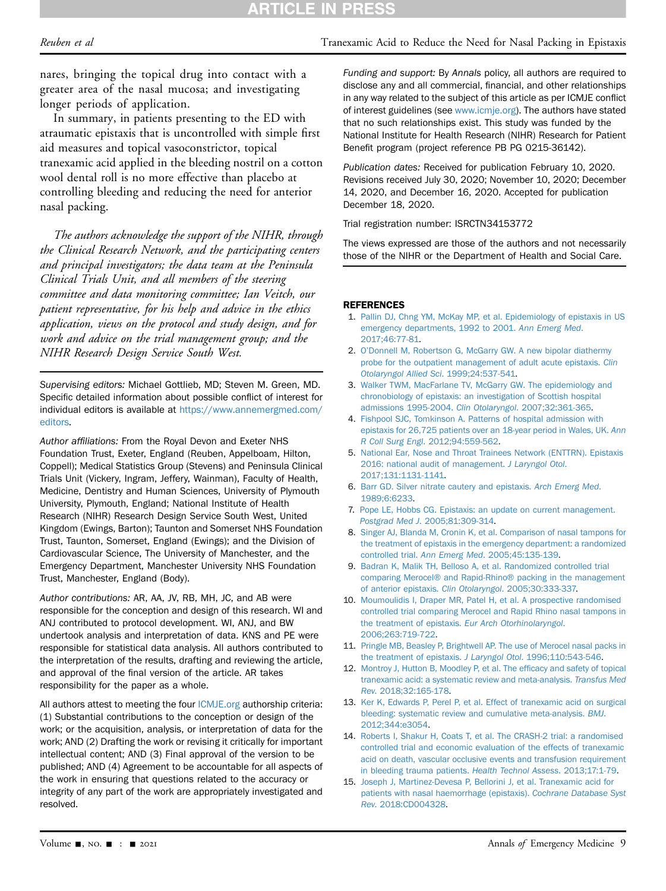Reuben et al Tranexamic Acid to Reduce the Need for Nasal Packing in Epistaxis

nares, bringing the topical drug into contact with a greater area of the nasal mucosa; and investigating longer periods of application.

In summary, in patients presenting to the ED with atraumatic epistaxis that is uncontrolled with simple first aid measures and topical vasoconstrictor, topical tranexamic acid applied in the bleeding nostril on a cotton wool dental roll is no more effective than placebo at controlling bleeding and reducing the need for anterior nasal packing.

The authors acknowledge the support of the NIHR, through the Clinical Research Network, and the participating centers and principal investigators; the data team at the Peninsula Clinical Trials Unit, and all members of the steering committee and data monitoring committee; Ian Veitch, our patient representative, for his help and advice in the ethics application, views on the protocol and study design, and for work and advice on the trial management group; and the NIHR Research Design Service South West.

Supervising editors: Michael Gottlieb, MD; Steven M. Green, MD. Specific detailed information about possible conflict of interest for individual editors is available at [https://www.annemergmed.com/](https://www.annemergmed.com/editors) [editors.](https://www.annemergmed.com/editors)

Author affiliations: From the Royal Devon and Exeter NHS Foundation Trust, Exeter, England (Reuben, Appelboam, Hilton, Coppell); Medical Statistics Group (Stevens) and Peninsula Clinical Trials Unit (Vickery, Ingram, Jeffery, Wainman), Faculty of Health, Medicine, Dentistry and Human Sciences, University of Plymouth University, Plymouth, England; National Institute of Health Research (NIHR) Research Design Service South West, United Kingdom (Ewings, Barton); Taunton and Somerset NHS Foundation Trust, Taunton, Somerset, England (Ewings); and the Division of Cardiovascular Science, The University of Manchester, and the Emergency Department, Manchester University NHS Foundation Trust, Manchester, England (Body).

Author contributions: AR, AA, JV, RB, MH, JC, and AB were responsible for the conception and design of this research. WI and ANJ contributed to protocol development. WI, ANJ, and BW undertook analysis and interpretation of data. KNS and PE were responsible for statistical data analysis. All authors contributed to the interpretation of the results, drafting and reviewing the article, and approval of the final version of the article. AR takes responsibility for the paper as a whole.

All authors attest to meeting the four [ICMJE.org](http://ICMJE.org) authorship criteria: (1) Substantial contributions to the conception or design of the work; or the acquisition, analysis, or interpretation of data for the work; AND (2) Drafting the work or revising it critically for important intellectual content; AND (3) Final approval of the version to be published; AND (4) Agreement to be accountable for all aspects of the work in ensuring that questions related to the accuracy or integrity of any part of the work are appropriately investigated and resolved.

Funding and support: By Annals policy, all authors are required to disclose any and all commercial, financial, and other relationships in any way related to the subject of this article as per ICMJE conflict of interest guidelines (see [www.icmje.org](http://www.icmje.org)). The authors have stated that no such relationships exist. This study was funded by the National Institute for Health Research (NIHR) Research for Patient Benefit program (project reference PB PG 0215-36142).

Publication dates: Received for publication February 10, 2020. Revisions received July 30, 2020; November 10, 2020; December 14, 2020, and December 16, 2020. Accepted for publication December 18, 2020.

Trial registration number: ISRCTN34153772

The views expressed are those of the authors and not necessarily those of the NIHR or the Department of Health and Social Care.

#### <span id="page-8-0"></span>REFERENCES

- 1. [Pallin DJ, Chng YM, McKay MP, et al. Epidemiology of epistaxis in US](http://refhub.elsevier.com/S0196-0644(20)31461-X/sref1) [emergency departments, 1992 to 2001.](http://refhub.elsevier.com/S0196-0644(20)31461-X/sref1) Ann Emerg Med. [2017;46:77-81](http://refhub.elsevier.com/S0196-0644(20)31461-X/sref1).
- <span id="page-8-1"></span>2. O'[Donnell M, Robertson G, McGarry GW. A new bipolar diathermy](http://refhub.elsevier.com/S0196-0644(20)31461-X/sref2) [probe for the outpatient management of adult acute epistaxis.](http://refhub.elsevier.com/S0196-0644(20)31461-X/sref2) Clin [Otolaryngol Allied Sci](http://refhub.elsevier.com/S0196-0644(20)31461-X/sref2). 1999;24:537-541.
- <span id="page-8-2"></span>3. [Walker TWM, MacFarlane TV, McGarry GW. The epidemiology and](http://refhub.elsevier.com/S0196-0644(20)31461-X/sref3) [chronobiology of epistaxis: an investigation of Scottish hospital](http://refhub.elsevier.com/S0196-0644(20)31461-X/sref3) [admissions 1995-2004.](http://refhub.elsevier.com/S0196-0644(20)31461-X/sref3) Clin Otolaryngol. 2007;32:361-365.
- <span id="page-8-3"></span>4. [Fishpool SJC, Tomkinson A. Patterns of hospital admission with](http://refhub.elsevier.com/S0196-0644(20)31461-X/sref4) [epistaxis for 26,725 patients over an 18-year period in Wales, UK.](http://refhub.elsevier.com/S0196-0644(20)31461-X/sref4) Ann R Coll Surg Engl[. 2012;94:559-562.](http://refhub.elsevier.com/S0196-0644(20)31461-X/sref4)
- <span id="page-8-4"></span>5. [National Ear, Nose and Throat Trainees Network \(ENTTRN\). Epistaxis](http://refhub.elsevier.com/S0196-0644(20)31461-X/sref5) [2016: national audit of management.](http://refhub.elsevier.com/S0196-0644(20)31461-X/sref5) J Laryngol Otol. [2017;131:1131-1141](http://refhub.elsevier.com/S0196-0644(20)31461-X/sref5).
- <span id="page-8-6"></span><span id="page-8-5"></span>6. [Barr GD. Silver nitrate cautery and epistaxis.](http://refhub.elsevier.com/S0196-0644(20)31461-X/sref6) Arch Emerg Med. [1989;6:6233.](http://refhub.elsevier.com/S0196-0644(20)31461-X/sref6)
- 7. [Pope LE, Hobbs CG. Epistaxis: an update on current management.](http://refhub.elsevier.com/S0196-0644(20)31461-X/sref7) Postgrad Med J[. 2005;81:309-314.](http://refhub.elsevier.com/S0196-0644(20)31461-X/sref7)
- <span id="page-8-7"></span>8. [Singer AJ, Blanda M, Cronin K, et al. Comparison of nasal tampons for](http://refhub.elsevier.com/S0196-0644(20)31461-X/sref8) [the treatment of epistaxis in the emergency department: a randomized](http://refhub.elsevier.com/S0196-0644(20)31461-X/sref8) controlled trial. Ann Emerg Med[. 2005;45:135-139.](http://refhub.elsevier.com/S0196-0644(20)31461-X/sref8)
- 9. [Badran K, Malik TH, Belloso A, et al. Randomized controlled trial](http://refhub.elsevier.com/S0196-0644(20)31461-X/sref9) [comparing Merocel® and Rapid-Rhino® packing in the management](http://refhub.elsevier.com/S0196-0644(20)31461-X/sref9) [of anterior epistaxis.](http://refhub.elsevier.com/S0196-0644(20)31461-X/sref9) Clin Otolaryngol. 2005;30:333-337.
- 10. [Moumoulidis I, Draper MR, Patel H, et al. A prospective randomised](http://refhub.elsevier.com/S0196-0644(20)31461-X/sref10) [controlled trial comparing Merocel and Rapid Rhino nasal tampons in](http://refhub.elsevier.com/S0196-0644(20)31461-X/sref10) [the treatment of epistaxis.](http://refhub.elsevier.com/S0196-0644(20)31461-X/sref10) Eur Arch Otorhinolaryngol. [2006;263:719-722.](http://refhub.elsevier.com/S0196-0644(20)31461-X/sref10)
- <span id="page-8-8"></span>11. [Pringle MB, Beasley P, Brightwell AP. The use of Merocel nasal packs in](http://refhub.elsevier.com/S0196-0644(20)31461-X/sref11) [the treatment of epistaxis.](http://refhub.elsevier.com/S0196-0644(20)31461-X/sref11) J Laryngol Otol. 1996;110:543-546.
- <span id="page-8-9"></span>12. [Montroy J, Hutton B, Moodley P, et al. The ef](http://refhub.elsevier.com/S0196-0644(20)31461-X/sref12)ficacy and safety of topical [tranexamic acid: a systematic review and meta-analysis.](http://refhub.elsevier.com/S0196-0644(20)31461-X/sref12) Transfus Med Rev[. 2018;32:165-178](http://refhub.elsevier.com/S0196-0644(20)31461-X/sref12).
- <span id="page-8-10"></span>13. [Ker K, Edwards P, Perel P, et al. Effect of tranexamic acid on surgical](http://refhub.elsevier.com/S0196-0644(20)31461-X/sref13) [bleeding: systematic review and cumulative meta-analysis.](http://refhub.elsevier.com/S0196-0644(20)31461-X/sref13) BMJ. [2012;344:e3054.](http://refhub.elsevier.com/S0196-0644(20)31461-X/sref13)
- <span id="page-8-11"></span>14. [Roberts I, Shakur H, Coats T, et al. The CRASH-2 trial: a randomised](http://refhub.elsevier.com/S0196-0644(20)31461-X/sref14) [controlled trial and economic evaluation of the effects of tranexamic](http://refhub.elsevier.com/S0196-0644(20)31461-X/sref14) [acid on death, vascular occlusive events and transfusion requirement](http://refhub.elsevier.com/S0196-0644(20)31461-X/sref14) [in bleeding trauma patients.](http://refhub.elsevier.com/S0196-0644(20)31461-X/sref14) Health Technol Assess. 2013;17:1-79.
- <span id="page-8-12"></span>15. [Joseph J, Martinez-Devesa P, Bellorini J, et al. Tranexamic acid for](http://refhub.elsevier.com/S0196-0644(20)31461-X/sref15) [patients with nasal haemorrhage \(epistaxis\).](http://refhub.elsevier.com/S0196-0644(20)31461-X/sref15) Cochrane Database Syst Rev[. 2018:CD004328.](http://refhub.elsevier.com/S0196-0644(20)31461-X/sref15)